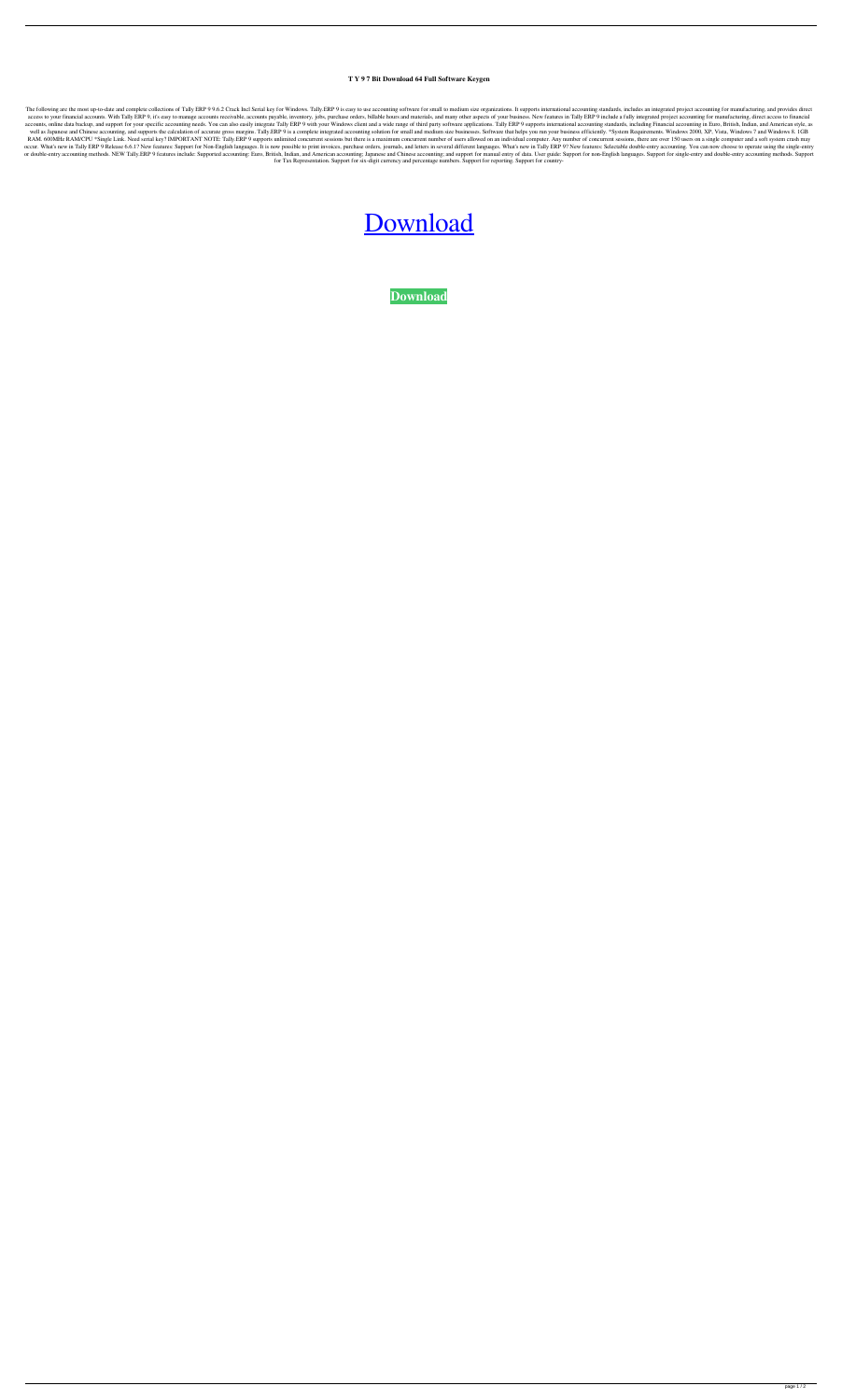## **T Y 9 7 Bit Download 64 Full Software Keygen**

The following are the most up-to-date and complete collections of Tally ERP 9 9.6.2 Crack Incl Serial key for Windows. Tally ERP 9 is easy to use accounting software for small to medium size organizations. It supports inte access to your financial accounts. With Tally ERP 9, it's easy to manage accounts receivable, accounts receivable, accounts payable, inventory, jobs, purchase orders, billable hours and materials, and many other aspects of accounts, online data backup, and support for your specific accounting needs. You can also easily integrate Tally ERP 9 with your Windows client and a wide range of third party software applications. Tally ERP 9 supports i well as Japanese and Chinese accounting, and supports the calculation of accurate gross margins. Tally.ERP 9 is a complete integrated accounting solution for small and medium size businesses. Software that helps you run yo RAM. 600MHz RAM/CPU \*Single Link. Need serial key? IMPORTANT NOTE: Tally.ERP 9 supports unlimited concurrent sessions but there is a maximum concurrent number of users allowed on an individual computer. Any number of concu occur. What's new in Tally ERP 9 Release 6.6.1? New features: Support for Non-English languages. It is now possible to print invoices, purchase orders, journals, and letters in several different languages. What's new in Ta or double-entry accounting methods. NEW Tally.ERP 9 features include: Supported accounting: Euro, British, Indian, and American accounting; Japanese and Chinese accounting; and support for manual entry of data. User guide: for Tax Representation. Support for six-digit currency and percentage numbers. Support for reporting. Support for country-

## [Download](http://evacdir.com/dGFsbHkgOSBmcmVlIGRvd25sb2FkIGZ1bGwgdmVyc2lvbiB3aW5kb3dzIDcgNjQgYml0dGF.procrastination/devaluation?migrates.nauseated=ZG93bmxvYWR8SHkyTVRaamRIeDhNVFkxTWpjME1EZzJObng4TWpVM05IeDhLRTBwSUhKbFlXUXRZbXh2WnlCYlJtRnpkQ0JIUlU1ZA)

**[Download](http://evacdir.com/dGFsbHkgOSBmcmVlIGRvd25sb2FkIGZ1bGwgdmVyc2lvbiB3aW5kb3dzIDcgNjQgYml0dGF.procrastination/devaluation?migrates.nauseated=ZG93bmxvYWR8SHkyTVRaamRIeDhNVFkxTWpjME1EZzJObng4TWpVM05IeDhLRTBwSUhKbFlXUXRZbXh2WnlCYlJtRnpkQ0JIUlU1ZA)**